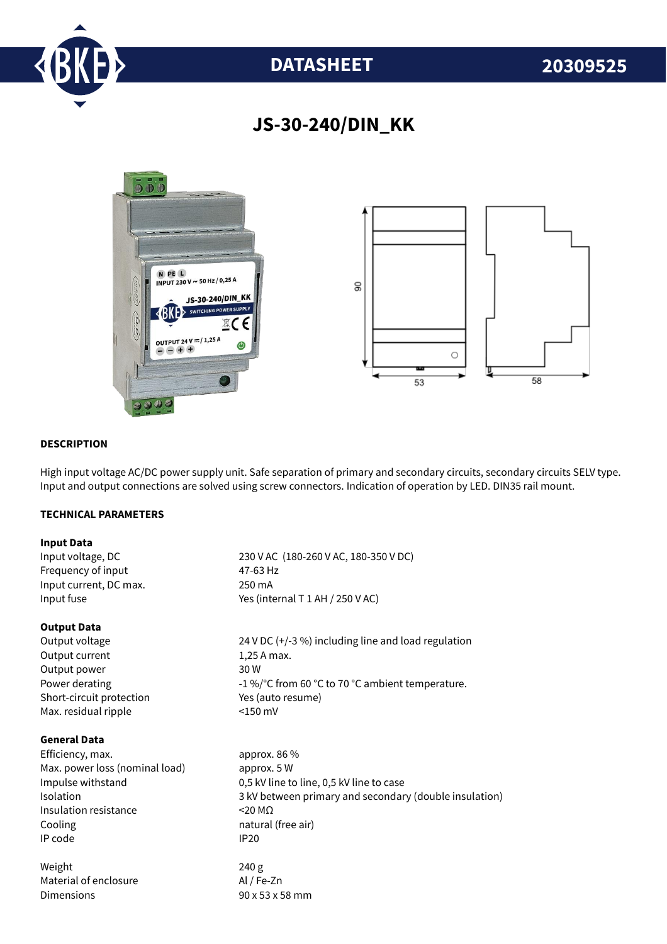

# **DATASHEET 20309525**

# **JS-30-240/DIN\_KK**



# **DESCRIPTION**

High input voltage AC/DC power supply unit. Safe separation of primary and secondary circuits, secondary circuits SELV type. Input and output connections are solved using screw connectors. Indication of operation by LED. DIN35 rail mount.

# **TECHNICAL PARAMETERS**

### **Input Data**

Frequency of input 47-63 Hz Input current, DC max. 250 mA

### **Output Data**

Output current 1,25 A max. Output power 30 W Short-circuit protection Yes (auto resume) Max. residual ripple <150 mV

# **General Data**

Efficiency, max. approx. 86 % Max. power loss (nominal load) approx. 5 W Insulation resistance <20 MΩ Cooling **natural** (free air) IP code IP20

Weight 240 g Material of enclosure Al / Fe-Zn Dimensions 90 x 53 x 58 mm

Input voltage, DC 230 V AC (180-260 V AC, 180-350 V DC) Input fuse  $Y$ es (internal T 1 AH / 250 V AC)

Output voltage 24 V DC (+/-3 %) including line and load regulation Power derating  $-1\%$  °C from 60 °C to 70 °C ambient temperature.

Impulse withstand 0,5 kV line to line, 0,5 kV line to case Isolation 3 kV between primary and secondary (double insulation)